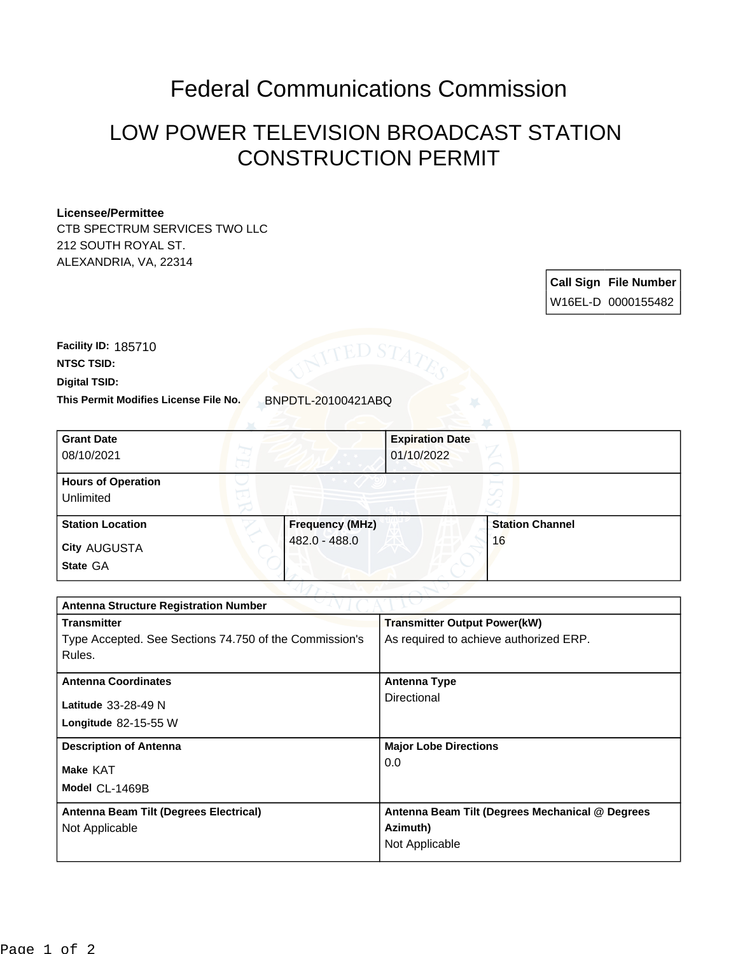## Federal Communications Commission

## LOW POWER TELEVISION BROADCAST STATION CONSTRUCTION PERMIT

## **Licensee/Permittee**

CTB SPECTRUM SERVICES TWO LLC 212 SOUTH ROYAL ST. ALEXANDRIA, VA, 22314

> **Call Sign File Number** W16EL-D 0000155482

**Digital TSID: NTSC TSID: Facility ID:** 185710

**This Permit Modifies License File No.** BNPDTL-20100421ABQ

| <b>Grant Date</b><br>08/10/2021        |                        | <b>Expiration Date</b><br>01/10/2022 |                        |  |
|----------------------------------------|------------------------|--------------------------------------|------------------------|--|
| <b>Hours of Operation</b><br>Unlimited |                        |                                      | v                      |  |
| <b>Station Location</b>                | <b>Frequency (MHz)</b> |                                      | <b>Station Channel</b> |  |
| <b>City AUGUSTA</b><br>State GA        | 482.0 - 488.0          |                                      | 16                     |  |

| <b>Antenna Structure Registration Number</b>           |                                                 |  |  |
|--------------------------------------------------------|-------------------------------------------------|--|--|
| <b>Transmitter</b>                                     | <b>Transmitter Output Power(kW)</b>             |  |  |
| Type Accepted. See Sections 74.750 of the Commission's | As required to achieve authorized ERP.          |  |  |
| Rules.                                                 |                                                 |  |  |
| <b>Antenna Coordinates</b>                             | <b>Antenna Type</b>                             |  |  |
| Latitude $33-28-49$ N                                  | Directional                                     |  |  |
| Longitude $82-15-55$ W                                 |                                                 |  |  |
| <b>Description of Antenna</b>                          | <b>Major Lobe Directions</b>                    |  |  |
| Make KAT                                               | 0.0                                             |  |  |
| Model CL-1469B                                         |                                                 |  |  |
| Antenna Beam Tilt (Degrees Electrical)                 | Antenna Beam Tilt (Degrees Mechanical @ Degrees |  |  |
| Not Applicable                                         | Azimuth)                                        |  |  |
|                                                        | Not Applicable                                  |  |  |